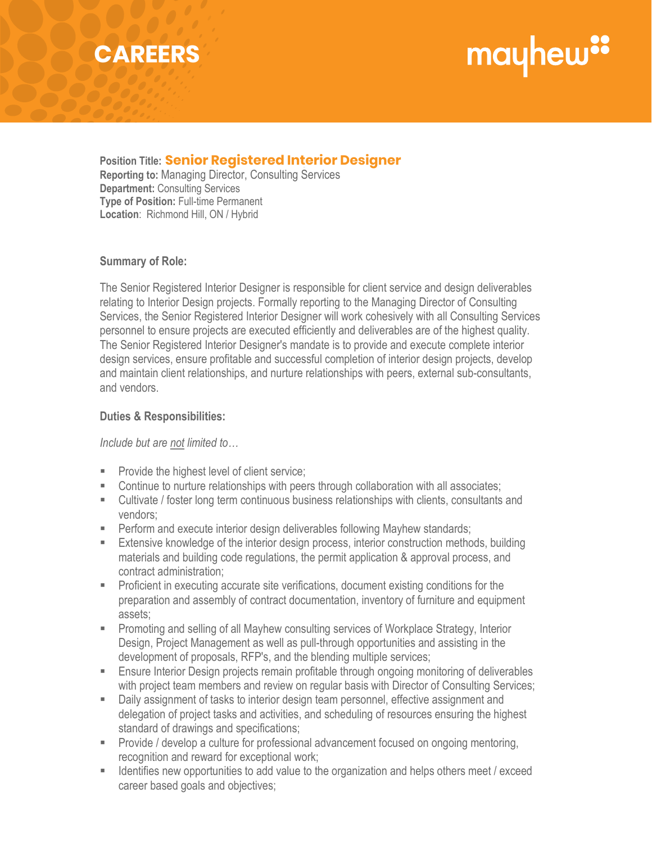## **CAREERS**

# mayhew"

**Position Title: Senior Registered Interior Designer Senior Registered Interior Designer Reporting to:** Managing Director, Consulting Services **Department:** Consulting Services **Type of Position:** Full-time Permanent **Location**: Richmond Hill, ON / Hybrid

#### **Summary of Role:**

The Senior Registered Interior Designer is responsible for client service and design deliverables relating to Interior Design projects. Formally reporting to the Managing Director of Consulting Services, the Senior Registered Interior Designer will work cohesively with all Consulting Services personnel to ensure projects are executed efficiently and deliverables are of the highest quality. The Senior Registered Interior Designer's mandate is to provide and execute complete interior design services, ensure profitable and successful completion of interior design projects, develop and maintain client relationships, and nurture relationships with peers, external sub-consultants, and vendors.

#### **Duties & Responsibilities:**

*Include but are not limited to…*

- **Provide the highest level of client service;**
- **EXECONTER 10 THE CONTERN EXECUTE:** Continue to nurture relationships with all associates;
- Cultivate / foster long term continuous business relationships with clients, consultants and vendors;
- Perform and execute interior design deliverables following Mayhew standards;
- Extensive knowledge of the interior design process, interior construction methods, building materials and building code regulations, the permit application & approval process, and contract administration;
- Proficient in executing accurate site verifications, document existing conditions for the preparation and assembly of contract documentation, inventory of furniture and equipment assets;
- Promoting and selling of all Mayhew consulting services of Workplace Strategy, Interior Design, Project Management as well as pull-through opportunities and assisting in the development of proposals, RFP's, and the blending multiple services;
- **Ensure Interior Design projects remain profitable through ongoing monitoring of deliverables** with project team members and review on regular basis with Director of Consulting Services;
- Daily assignment of tasks to interior design team personnel, effective assignment and delegation of project tasks and activities, and scheduling of resources ensuring the highest standard of drawings and specifications;
- **Provide / develop a culture for professional advancement focused on ongoing mentoring,** recognition and reward for exceptional work;
- **IDENT** Identifies new opportunities to add value to the organization and helps others meet / exceed career based goals and objectives;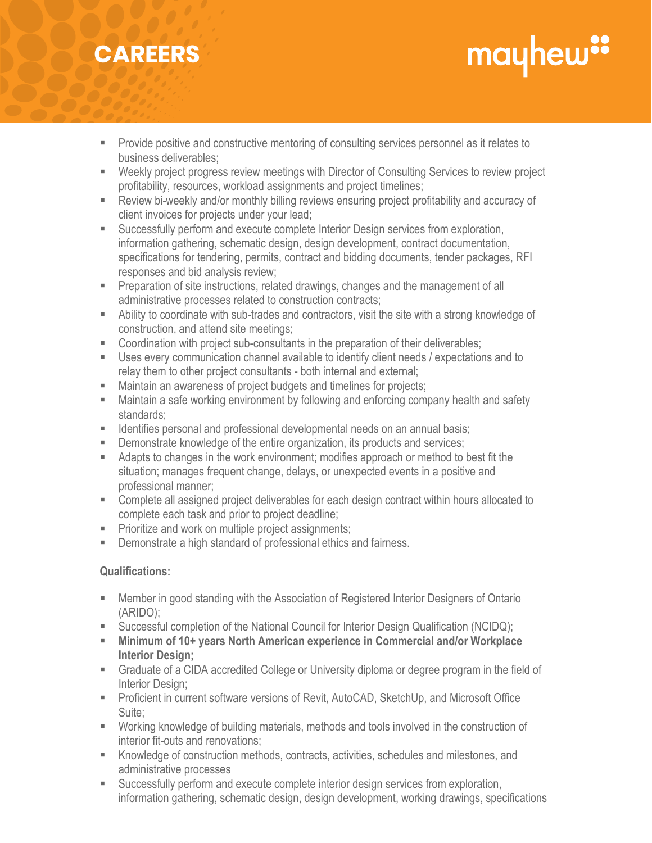# **CAREERS**

- mayhew"
- Provide positive and constructive mentoring of consulting services personnel as it relates to business deliverables;
- Weekly project progress review meetings with Director of Consulting Services to review project profitability, resources, workload assignments and project timelines;
- Review bi-weekly and/or monthly billing reviews ensuring project profitability and accuracy of client invoices for projects under your lead;
- Successfully perform and execute complete Interior Design services from exploration, information gathering, schematic design, design development, contract documentation, specifications for tendering, permits, contract and bidding documents, tender packages, RFI responses and bid analysis review;
- **Preparation of site instructions, related drawings, changes and the management of all** administrative processes related to construction contracts;
- Ability to coordinate with sub-trades and contractors, visit the site with a strong knowledge of construction, and attend site meetings;
- **EXECO** Coordination with project sub-consultants in the preparation of their deliverables;
- Uses every communication channel available to identify client needs / expectations and to relay them to other project consultants - both internal and external;
- **Maintain an awareness of project budgets and timelines for projects;**
- Maintain a safe working environment by following and enforcing company health and safety standards;
- Identifies personal and professional developmental needs on an annual basis;
- **Demonstrate knowledge of the entire organization, its products and services;**
- Adapts to changes in the work environment; modifies approach or method to best fit the situation; manages frequent change, delays, or unexpected events in a positive and professional manner;
- Complete all assigned project deliverables for each design contract within hours allocated to complete each task and prior to project deadline;
- Prioritize and work on multiple project assignments;
- Demonstrate a high standard of professional ethics and fairness.

### **Qualifications:**

- Member in good standing with the Association of Registered Interior Designers of Ontario (ARIDO);
- Successful completion of the National Council for Interior Design Qualification (NCIDQ);
- **Minimum of 10+ years North American experience in Commercial and/or Workplace Interior Design;**
- Graduate of a CIDA accredited College or University diploma or degree program in the field of Interior Design;
- Proficient in current software versions of Revit, AutoCAD, SketchUp, and Microsoft Office Suite;
- Working knowledge of building materials, methods and tools involved in the construction of interior fit-outs and renovations;
- Knowledge of construction methods, contracts, activities, schedules and milestones, and administrative processes
- Successfully perform and execute complete interior design services from exploration, information gathering, schematic design, design development, working drawings, specifications